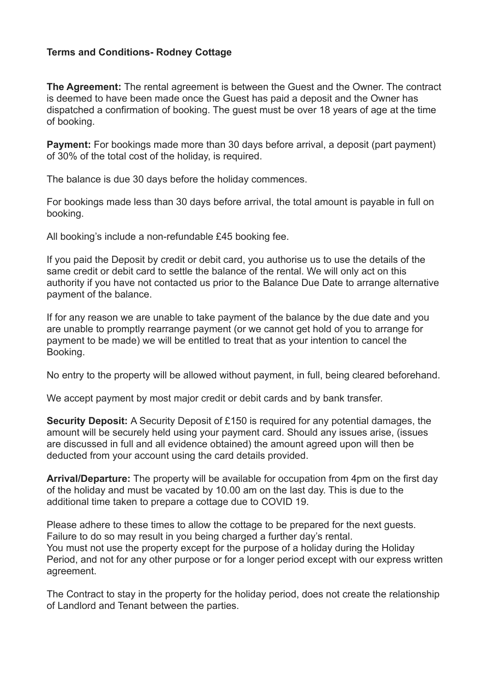## **Terms and Conditions- Rodney Cottage**

**The Agreement:** The rental agreement is between the Guest and the Owner. The contract is deemed to have been made once the Guest has paid a deposit and the Owner has dispatched a confirmation of booking. The guest must be over 18 years of age at the time of booking.

**Payment:** For bookings made more than 30 days before arrival, a deposit (part payment) of 30% of the total cost of the holiday, is required.

The balance is due 30 days before the holiday commences.

For bookings made less than 30 days before arrival, the total amount is payable in full on booking.

All booking's include a non-refundable £45 booking fee.

If you paid the Deposit by credit or debit card, you authorise us to use the details of the same credit or debit card to settle the balance of the rental. We will only act on this authority if you have not contacted us prior to the Balance Due Date to arrange alternative payment of the balance.

If for any reason we are unable to take payment of the balance by the due date and you are unable to promptly rearrange payment (or we cannot get hold of you to arrange for payment to be made) we will be entitled to treat that as your intention to cancel the Booking.

No entry to the property will be allowed without payment, in full, being cleared beforehand.

We accept payment by most major credit or debit cards and by bank transfer.

**Security Deposit:** A Security Deposit of £150 is required for any potential damages, the amount will be securely held using your payment card. Should any issues arise, (issues are discussed in full and all evidence obtained) the amount agreed upon will then be deducted from your account using the card details provided.

**Arrival/Departure:** The property will be available for occupation from 4pm on the first day of the holiday and must be vacated by 10.00 am on the last day. This is due to the additional time taken to prepare a cottage due to COVID 19.

Please adhere to these times to allow the cottage to be prepared for the next guests. Failure to do so may result in you being charged a further day's rental. You must not use the property except for the purpose of a holiday during the Holiday Period, and not for any other purpose or for a longer period except with our express written agreement.

The Contract to stay in the property for the holiday period, does not create the relationship of Landlord and Tenant between the parties.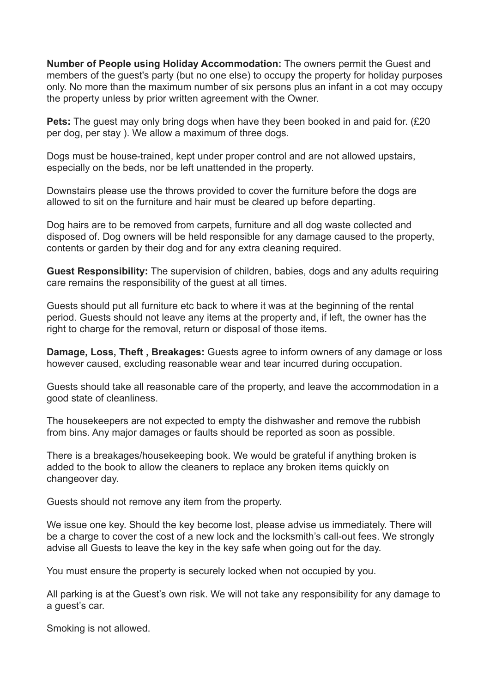**Number of People using Holiday Accommodation:** The owners permit the Guest and members of the guest's party (but no one else) to occupy the property for holiday purposes only. No more than the maximum number of six persons plus an infant in a cot may occupy the property unless by prior written agreement with the Owner.

**Pets:** The guest may only bring dogs when have they been booked in and paid for. (£20) per dog, per stay ). We allow a maximum of three dogs.

Dogs must be house-trained, kept under proper control and are not allowed upstairs, especially on the beds, nor be left unattended in the property.

Downstairs please use the throws provided to cover the furniture before the [dogs](https://www.redrobincottage.co.uk/our-cottage/#dog-policy) are allowed to sit on the furniture and hair must be cleared up before departing.

Dog hairs are to be removed from carpets, furniture and all dog waste collected and disposed of. Dog owners will be held responsible for any damage caused to the property, contents or garden by their dog and for any extra cleaning required.

**Guest Responsibility:** The supervision of children, babies, dogs and any adults requiring care remains the responsibility of the guest at all times.

Guests should put all furniture etc back to where it was at the beginning of the rental period. Guests should not leave any items at the property and, if left, the owner has the right to charge for the removal, return or disposal of those items.

**Damage, Loss, Theft , Breakages:** Guests agree to inform owners of any damage or loss however caused, excluding reasonable wear and tear incurred during occupation.

Guests should take all reasonable care of the property, and leave the accommodation in a good state of cleanliness.

The housekeepers are not expected to empty the dishwasher and remove the rubbish from bins. Any major damages or faults should be reported as soon as possible.

There is a breakages/housekeeping book. We would be grateful if anything broken is added to the book to allow the cleaners to replace any broken items quickly on changeover day.

Guests should not remove any item from the property.

We issue one key. Should the key become lost, please advise us immediately. There will be a charge to cover the cost of a new lock and the locksmith's call-out fees. We strongly advise all Guests to leave the key in the key safe when going out for the day.

You must ensure the property is securely locked when not occupied by you.

All parking is at the Guest's own risk. We will not take any responsibility for any damage to a guest's car.

Smoking is not allowed.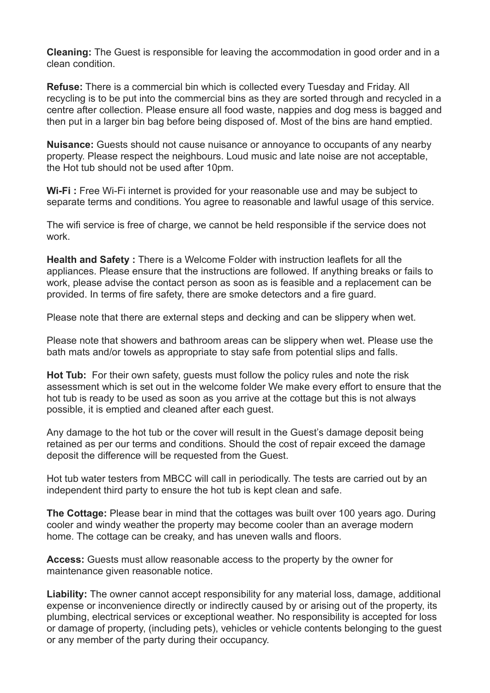**Cleaning:** The Guest is responsible for leaving the accommodation in good order and in a clean condition.

**Refuse:** There is a commercial bin which is collected every Tuesday and Friday. All recycling is to be put into the commercial bins as they are sorted through and recycled in a centre after collection. Please ensure all food waste, nappies and dog mess is bagged and then put in a larger bin bag before being disposed of. Most of the bins are hand emptied.

**Nuisance:** Guests should not cause nuisance or annoyance to occupants of any nearby property. Please respect the neighbours. Loud music and late noise are not acceptable, the Hot tub should not be used after 10pm.

**Wi-Fi :** Free Wi-Fi internet is provided for your reasonable use and may be subject to separate terms and conditions. You agree to reasonable and lawful usage of this service.

The wifi service is free of charge, we cannot be held responsible if the service does not work.

**Health and Safety :** There is a Welcome Folder with instruction leaflets for all the appliances. Please ensure that the instructions are followed. If anything breaks or fails to work, please advise the contact person as soon as is feasible and a replacement can be provided. In terms of fire safety, there are smoke detectors and a fire guard.

Please note that there are external steps and decking and can be slippery when wet.

Please note that showers and bathroom areas can be slippery when wet. Please use the bath mats and/or towels as appropriate to stay safe from potential slips and falls.

**Hot Tub:** For their own safety, guests must follow the policy rules and note the risk assessment which is set out in the welcome folder We make every effort to ensure that the hot tub is ready to be used as soon as you arrive at the cottage but this is not always possible, it is emptied and cleaned after each guest.

Any damage to the hot tub or the cover will result in the Guest's damage deposit being retained as per our terms and conditions. Should the cost of repair exceed the damage deposit the difference will be requested from the Guest.

Hot tub water testers from MBCC will call in periodically. The tests are carried out by an independent third party to ensure the hot tub is kept clean and safe.

**The Cottage:** Please bear in mind that the cottages was built over 100 years ago. During cooler and windy weather the property may become cooler than an average modern home. The cottage can be creaky, and has uneven walls and floors.

**Access:** Guests must allow reasonable access to the property by the owner for maintenance given reasonable notice.

**Liability:** The owner cannot accept responsibility for any material loss, damage, additional expense or inconvenience directly or indirectly caused by or arising out of the property, its plumbing, electrical services or exceptional weather. No responsibility is accepted for loss or damage of property, (including pets), vehicles or vehicle contents belonging to the guest or any member of the party during their occupancy.